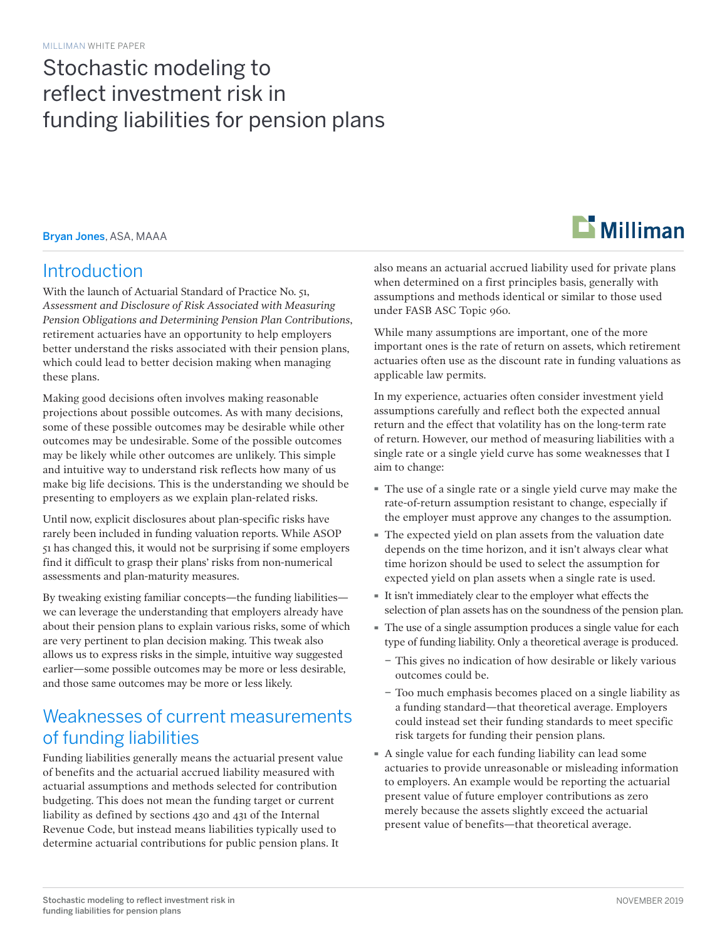# Stochastic modeling to reflect investment risk in funding liabilities for pension plans

Bryan Jones, ASA, MAAA

### Introduction

With the launch of Actuarial Standard of Practice No. 51, *Assessment and Disclosure of Risk Associated with Measuring Pension Obligations and Determining Pension Plan Contributions*, retirement actuaries have an opportunity to help employers better understand the risks associated with their pension plans, which could lead to better decision making when managing these plans.

Making good decisions often involves making reasonable projections about possible outcomes. As with many decisions, some of these possible outcomes may be desirable while other outcomes may be undesirable. Some of the possible outcomes may be likely while other outcomes are unlikely. This simple and intuitive way to understand risk reflects how many of us make big life decisions. This is the understanding we should be presenting to employers as we explain plan-related risks.

Until now, explicit disclosures about plan-specific risks have rarely been included in funding valuation reports. While ASOP 51 has changed this, it would not be surprising if some employers find it difficult to grasp their plans' risks from non-numerical assessments and plan-maturity measures.

By tweaking existing familiar concepts—the funding liabilities we can leverage the understanding that employers already have about their pension plans to explain various risks, some of which are very pertinent to plan decision making. This tweak also allows us to express risks in the simple, intuitive way suggested earlier—some possible outcomes may be more or less desirable, and those same outcomes may be more or less likely.

### Weaknesses of current measurements of funding liabilities

Funding liabilities generally means the actuarial present value of benefits and the actuarial accrued liability measured with actuarial assumptions and methods selected for contribution budgeting. This does not mean the funding target or current liability as defined by sections 430 and 431 of the Internal Revenue Code, but instead means liabilities typically used to determine actuarial contributions for public pension plans. It

# $\mathbf{\mathbf{\Sigma}}$  Milliman

also means an actuarial accrued liability used for private plans when determined on a first principles basis, generally with assumptions and methods identical or similar to those used under FASB ASC Topic 960.

While many assumptions are important, one of the more important ones is the rate of return on assets, which retirement actuaries often use as the discount rate in funding valuations as applicable law permits.

In my experience, actuaries often consider investment yield assumptions carefully and reflect both the expected annual return and the effect that volatility has on the long-term rate of return. However, our method of measuring liabilities with a single rate or a single yield curve has some weaknesses that I aim to change:

- · The use of a single rate or a single yield curve may make the rate-of-return assumption resistant to change, especially if the employer must approve any changes to the assumption.
- · The expected yield on plan assets from the valuation date depends on the time horizon, and it isn't always clear what time horizon should be used to select the assumption for expected yield on plan assets when a single rate is used.
- · It isn't immediately clear to the employer what effects the selection of plan assets has on the soundness of the pension plan.
- · The use of a single assumption produces a single value for each type of funding liability. Only a theoretical average is produced.
	- − This gives no indication of how desirable or likely various outcomes could be.
	- − Too much emphasis becomes placed on a single liability as a funding standard—that theoretical average. Employers could instead set their funding standards to meet specific risk targets for funding their pension plans.
- · A single value for each funding liability can lead some actuaries to provide unreasonable or misleading information to employers. An example would be reporting the actuarial present value of future employer contributions as zero merely because the assets slightly exceed the actuarial present value of benefits—that theoretical average.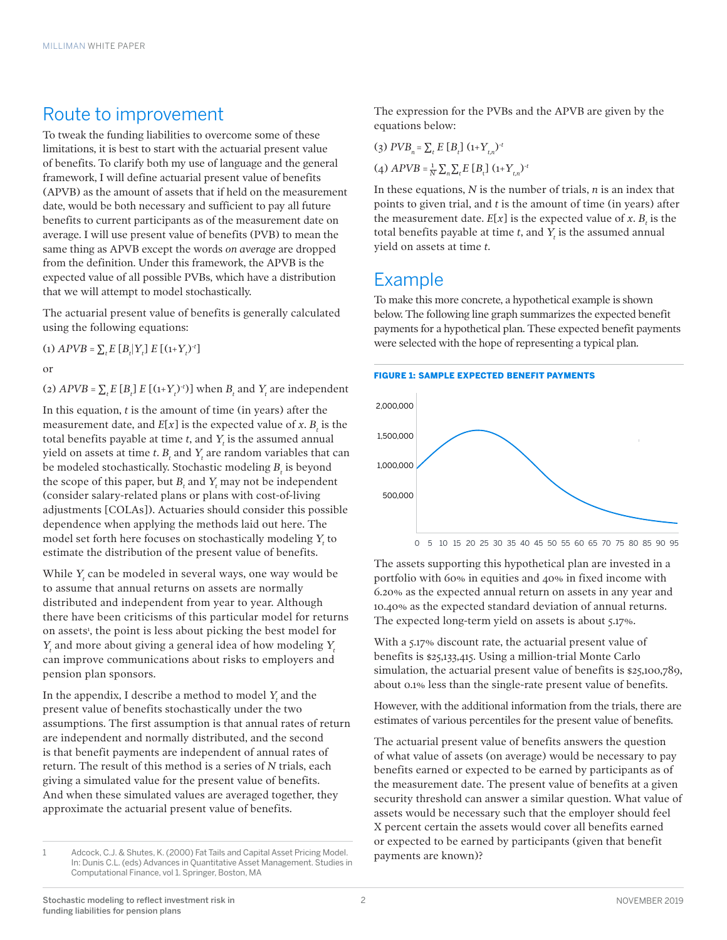### Route to improvement

To tweak the funding liabilities to overcome some of these limitations, it is best to start with the actuarial present value of benefits. To clarify both my use of language and the general framework, I will define actuarial present value of benefits (APVB) as the amount of assets that if held on the measurement date, would be both necessary and sufficient to pay all future benefits to current participants as of the measurement date on average. I will use present value of benefits (PVB) to mean the same thing as APVB except the words *on average* are dropped from the definition. Under this framework, the APVB is the expected value of all possible PVBs, which have a distribution that we will attempt to model stochastically.

The actuarial present value of benefits is generally calculated using the following equations:

(1)  $APVB = \sum_{t} E[B_{t} | Y_{t}] E[(1+Y_{t})^{-t}]$ 

or

(2)  $APVB = \sum_t E[R_t] E[(1+Y_t)^{-t}]$  when  $B_t$  and  $Y_t$  are independent

In this equation, *t* is the amount of time (in years) after the measurement date, and  $E[x]$  is the expected value of x.  $B_t$  is the total benefits payable at time *t*, and *Yt* is the assumed annual yield on assets at time  $t$ .  $B_t$  and  $Y_t$  are random variables that can be modeled stochastically. Stochastic modeling  $B_t$  is beyond the scope of this paper, but  $B_t$  and  $Y_t$  may not be independent (consider salary-related plans or plans with cost-of-living adjustments [COLAs]). Actuaries should consider this possible dependence when applying the methods laid out here. The model set forth here focuses on stochastically modeling  $Y_t$  to estimate the distribution of the present value of benefits.

While *Yt* can be modeled in several ways, one way would be to assume that annual returns on assets are normally distributed and independent from year to year. Although there have been criticisms of this particular model for returns on assets<sup>1</sup>, the point is less about picking the best model for *Yt* and more about giving a general idea of how modeling *Yt* can improve communications about risks to employers and pension plan sponsors.

In the appendix, I describe a method to model  $Y_t$  and the present value of benefits stochastically under the two assumptions. The first assumption is that annual rates of return are independent and normally distributed, and the second is that benefit payments are independent of annual rates of return. The result of this method is a series of *N* trials, each giving a simulated value for the present value of benefits. And when these simulated values are averaged together, they approximate the actuarial present value of benefits.

The expression for the PVBs and the APVB are given by the equations below:

 $(3) PVB_n = \sum_t E[B_t] (1+Y_{t,n})^{-t}$  $(4)$   $APVB = \frac{1}{N} \sum_{n} \sum_{t} E[R_t] (1 + Y_{t,n})^{-t}$ 

In these equations, *N* is the number of trials, *n* is an index that points to given trial, and *t* is the amount of time (in years) after the measurement date.  $E[x]$  is the expected value of *x*.  $B_t$  is the total benefits payable at time  $t$ , and  $Y_t$  is the assumed annual yield on assets at time *t*.

### Example

To make this more concrete, a hypothetical example is shown below. The following line graph summarizes the expected benefit payments for a hypothetical plan. These expected benefit payments were selected with the hope of representing a typical plan.



The assets supporting this hypothetical plan are invested in a portfolio with 60% in equities and 40% in fixed income with 6.20% as the expected annual return on assets in any year and 10.40% as the expected standard deviation of annual returns. The expected long-term yield on assets is about 5.17%.

With a 5.17% discount rate, the actuarial present value of benefits is \$25,133,415. Using a million-trial Monte Carlo simulation, the actuarial present value of benefits is \$25,100,789, about 0.1% less than the single-rate present value of benefits.

However, with the additional information from the trials, there are estimates of various percentiles for the present value of benefits.

The actuarial present value of benefits answers the question of what value of assets (on average) would be necessary to pay benefits earned or expected to be earned by participants as of the measurement date. The present value of benefits at a given security threshold can answer a similar question. What value of assets would be necessary such that the employer should feel X percent certain the assets would cover all benefits earned or expected to be earned by participants (given that benefit payments are known)?

<sup>1</sup> Adcock, C.J. & Shutes, K. (2000) Fat Tails and Capital Asset Pricing Model. In: Dunis C.L. (eds) Advances in Quantitative Asset Management. Studies in Computational Finance, vol 1. Springer, Boston, MA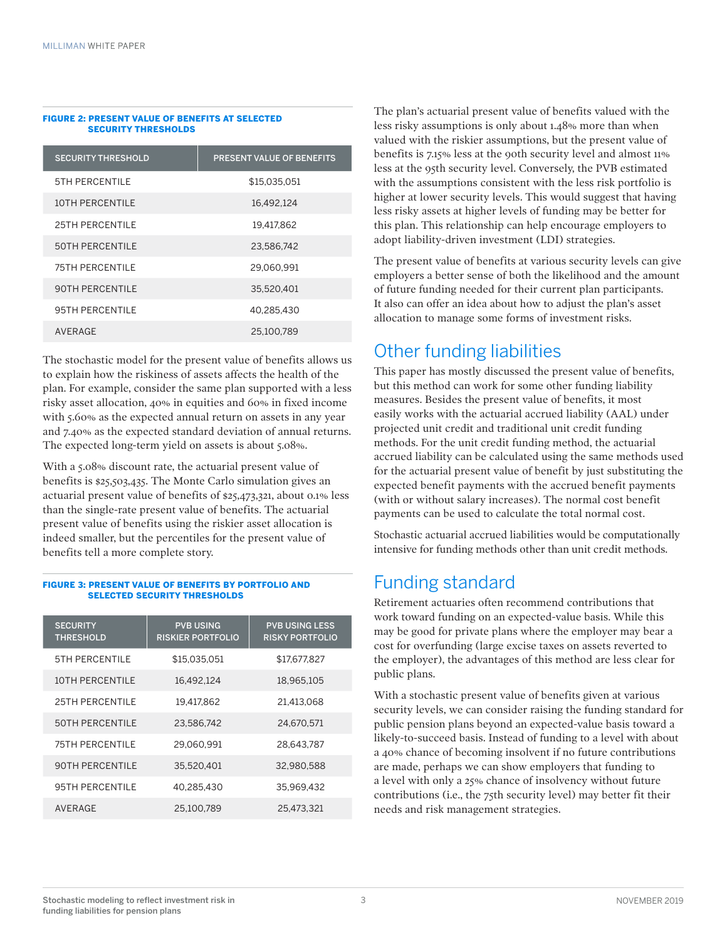#### FIGURE 2: PRESENT VALUE OF BENEFITS AT SELECTED SECURITY THRESHOLDS

| <b>SECURITY THRESHOLD</b> | <b>PRESENT VALUE OF BENEFITS</b> |
|---------------------------|----------------------------------|
| <b>5TH PERCENTILE</b>     | \$15.035.051                     |
| 10TH PERCENTILE           | 16.492.124                       |
| 25TH PERCENTILE           | 19.417.862                       |
| <b>50TH PERCENTILE</b>    | 23.586.742                       |
| <b>75TH PERCENTILE</b>    | 29.060.991                       |
| <b>90TH PERCENTILE</b>    | 35,520,401                       |
| <b>95TH PERCENTILE</b>    | 40,285,430                       |
| AVERAGE                   | 25,100,789                       |

The stochastic model for the present value of benefits allows us to explain how the riskiness of assets affects the health of the plan. For example, consider the same plan supported with a less risky asset allocation, 40% in equities and 60% in fixed income with 5.60% as the expected annual return on assets in any year and 7.40% as the expected standard deviation of annual returns. The expected long-term yield on assets is about 5.08%.

With a 5.08% discount rate, the actuarial present value of benefits is \$25,503,435. The Monte Carlo simulation gives an actuarial present value of benefits of \$25,473,321, about 0.1% less than the single-rate present value of benefits. The actuarial present value of benefits using the riskier asset allocation is indeed smaller, but the percentiles for the present value of benefits tell a more complete story.

#### FIGURE 3: PRESENT VALUE OF BENEFITS BY PORTFOLIO AND SELECTED SECURITY THRESHOLDS

| <b>SECURITY</b><br><b>THRESHOLD</b> | <b>PVB USING</b><br><b>RISKIER PORTFOLIO</b> | <b>PVB USING LESS</b><br><b>RISKY PORTFOLIO</b> |
|-------------------------------------|----------------------------------------------|-------------------------------------------------|
| <b>5TH PERCENTILE</b>               | \$15.035.051                                 | \$17.677.827                                    |
| 10TH PERCENTILE                     | 16.492.124                                   | 18.965.105                                      |
| <b>25TH PERCENTILE</b>              | 19.417.862                                   | 21.413.068                                      |
| <b>50TH PERCENTILE</b>              | 23.586.742                                   | 24.670.571                                      |
| <b>75TH PERCENTILE</b>              | 29.060.991                                   | 28.643.787                                      |
| <b>90TH PERCENTILE</b>              | 35.520.401                                   | 32.980.588                                      |
| 95TH PERCENTILE                     | 40.285.430                                   | 35.969.432                                      |
| AVERAGE                             | 25.100.789                                   | 25.473.321                                      |

The plan's actuarial present value of benefits valued with the less risky assumptions is only about 1.48% more than when valued with the riskier assumptions, but the present value of benefits is 7.15% less at the 90th security level and almost 11% less at the 95th security level. Conversely, the PVB estimated with the assumptions consistent with the less risk portfolio is higher at lower security levels. This would suggest that having less risky assets at higher levels of funding may be better for this plan. This relationship can help encourage employers to adopt liability-driven investment (LDI) strategies.

The present value of benefits at various security levels can give employers a better sense of both the likelihood and the amount of future funding needed for their current plan participants. It also can offer an idea about how to adjust the plan's asset allocation to manage some forms of investment risks.

# Other funding liabilities

This paper has mostly discussed the present value of benefits, but this method can work for some other funding liability measures. Besides the present value of benefits, it most easily works with the actuarial accrued liability (AAL) under projected unit credit and traditional unit credit funding methods. For the unit credit funding method, the actuarial accrued liability can be calculated using the same methods used for the actuarial present value of benefit by just substituting the expected benefit payments with the accrued benefit payments (with or without salary increases). The normal cost benefit payments can be used to calculate the total normal cost.

Stochastic actuarial accrued liabilities would be computationally intensive for funding methods other than unit credit methods.

## Funding standard

Retirement actuaries often recommend contributions that work toward funding on an expected-value basis. While this may be good for private plans where the employer may bear a cost for overfunding (large excise taxes on assets reverted to the employer), the advantages of this method are less clear for public plans.

With a stochastic present value of benefits given at various security levels, we can consider raising the funding standard for public pension plans beyond an expected-value basis toward a likely-to-succeed basis. Instead of funding to a level with about a 40% chance of becoming insolvent if no future contributions are made, perhaps we can show employers that funding to a level with only a 25% chance of insolvency without future contributions (i.e., the 75th security level) may better fit their needs and risk management strategies.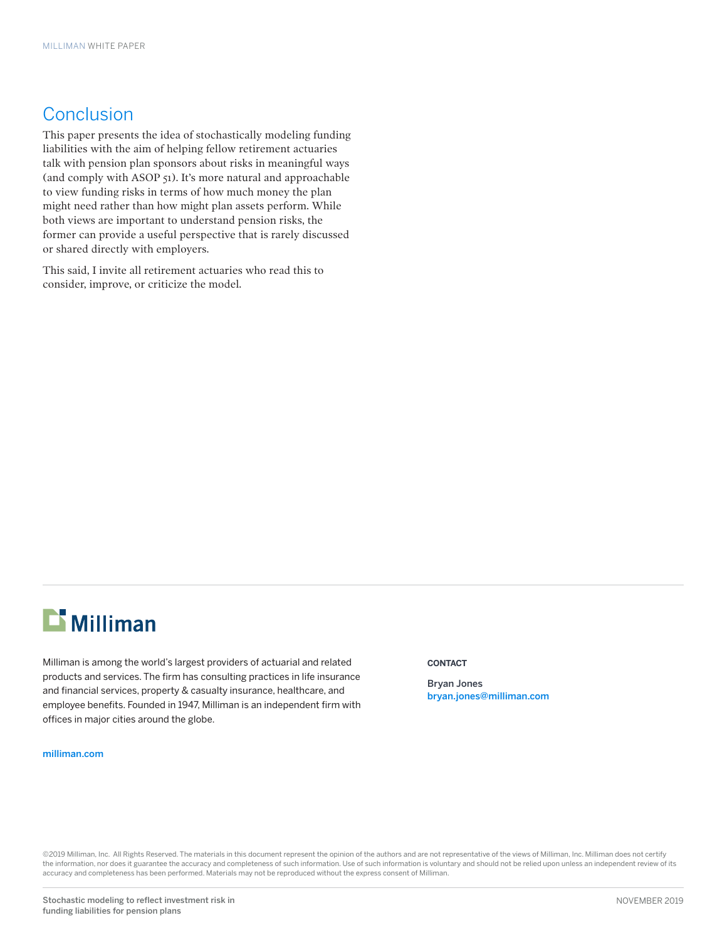## **Conclusion**

This paper presents the idea of stochastically modeling funding liabilities with the aim of helping fellow retirement actuaries talk with pension plan sponsors about risks in meaningful ways (and comply with ASOP 51). It's more natural and approachable to view funding risks in terms of how much money the plan might need rather than how might plan assets perform. While both views are important to understand pension risks, the former can provide a useful perspective that is rarely discussed or shared directly with employers.

This said, I invite all retirement actuaries who read this to consider, improve, or criticize the model.

# $\mathbf{L}$  Milliman

Milliman is among the world's largest providers of actuarial and related products and services. The firm has consulting practices in life insurance and financial services, property & casualty insurance, healthcare, and employee benefits. Founded in 1947, Milliman is an independent firm with offices in major cities around the globe.

#### [milliman.com](http://us.milliman.com)

#### **CONTACT**

Bryan Jones bryan.jones@milliman.com

©2019 Milliman, Inc. All Rights Reserved. The materials in this document represent the opinion of the authors and are not representative of the views of Milliman, Inc. Milliman does not certify the information, nor does it guarantee the accuracy and completeness of such information. Use of such information is voluntary and should not be relied upon unless an independent review of its accuracy and completeness has been performed. Materials may not be reproduced without the express consent of Milliman.